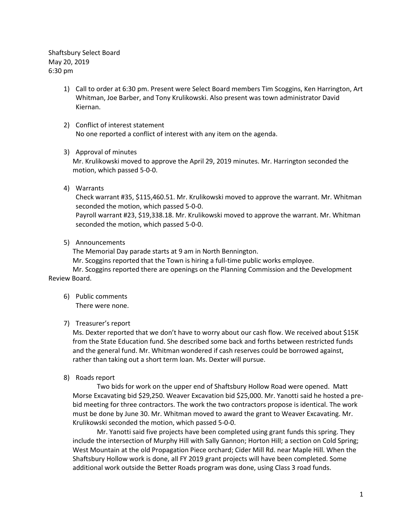Shaftsbury Select Board May 20, 2019 6:30 pm

- 1) Call to order at 6:30 pm. Present were Select Board members Tim Scoggins, Ken Harrington, Art Whitman, Joe Barber, and Tony Krulikowski. Also present was town administrator David Kiernan.
- 2) Conflict of interest statement No one reported a conflict of interest with any item on the agenda.

## 3) Approval of minutes

Mr. Krulikowski moved to approve the April 29, 2019 minutes. Mr. Harrington seconded the motion, which passed 5-0-0.

4) Warrants

Check warrant #35, \$115,460.51. Mr. Krulikowski moved to approve the warrant. Mr. Whitman seconded the motion, which passed 5-0-0.

Payroll warrant #23, \$19,338.18. Mr. Krulikowski moved to approve the warrant. Mr. Whitman seconded the motion, which passed 5-0-0.

5) Announcements

The Memorial Day parade starts at 9 am in North Bennington.

Mr. Scoggins reported that the Town is hiring a full-time public works employee.

Mr. Scoggins reported there are openings on the Planning Commission and the Development Review Board.

6) Public comments There were none.

# 7) Treasurer's report

Ms. Dexter reported that we don't have to worry about our cash flow. We received about \$15K from the State Education fund. She described some back and forths between restricted funds and the general fund. Mr. Whitman wondered if cash reserves could be borrowed against, rather than taking out a short term loan. Ms. Dexter will pursue.

8) Roads report

Two bids for work on the upper end of Shaftsbury Hollow Road were opened. Matt Morse Excavating bid \$29,250. Weaver Excavation bid \$25,000. Mr. Yanotti said he hosted a prebid meeting for three contractors. The work the two contractors propose is identical. The work must be done by June 30. Mr. Whitman moved to award the grant to Weaver Excavating. Mr. Krulikowski seconded the motion, which passed 5-0-0.

Mr. Yanotti said five projects have been completed using grant funds this spring. They include the intersection of Murphy Hill with Sally Gannon; Horton Hill; a section on Cold Spring; West Mountain at the old Propagation Piece orchard; Cider Mill Rd. near Maple Hill. When the Shaftsbury Hollow work is done, all FY 2019 grant projects will have been completed. Some additional work outside the Better Roads program was done, using Class 3 road funds.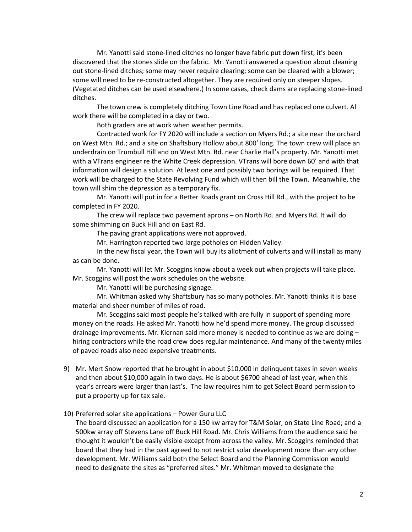Mr. Yanotti said stone-lined ditches no longer have fabric put down first; it's been discovered that the stones slide on the fabric. Mr. Yanotti answered a question about cleaning out stone-lined ditches; some may never require clearing; some can be cleared with a blower; some will need to be re-constructed altogether. They are required only on steeper slopes. (Vegetated ditches can be used elsewhere.) In some cases, check dams are replacing stone-lined ditches.

The town crew is completely ditching Town Line Road and has replaced one culvert. Al work there will be completed in a day or two.

Both graders are at work when weather permits.

Contracted work for FY 2020 will include a section on Myers Rd.; a site near the orchard on West Mtn. Rd.; and a site on Shaftsbury Hollow about 800' long. The town crew will place an underdrain on Trumbull Hill and on West Mtn. Rd. near Charlie Hall's property. Mr. Yanotti met with a VTrans engineer re the White Creek depression. VTrans will bore down 60' and with that information will design a solution. At least one and possibly two borings will be required. That work will be charged to the State Revolving Fund which will then bill the Town. Meanwhile, the town will shim the depression as a temporary fix.

Mr. Yanotti will put in for a Better Roads grant on Cross Hill Rd., with the project to be completed in FY 2020.

The crew will replace two pavement aprons – on North Rd. and Myers Rd. It will do some shimming on Buck Hill and on East Rd.

The paving grant applications were not approved.

Mr. Harrington reported two large potholes on Hidden Valley.

In the new fiscal year, the Town will buy its allotment of culverts and will install as many as can be done.

Mr. Yanotti will let Mr. Scoggins know about a week out when projects will take place. Mr. Scoggins will post the work schedules on the website.

Mr. Yanotti will be purchasing signage.

Mr. Whitman asked why Shaftsbury has so many potholes. Mr. Yanotti thinks it is base material and sheer number of miles of road.

Mr. Scoggins said most people he's talked with are fully in support of spending more money on the roads. He asked Mr. Yanotti how he'd spend more money. The group discussed drainage improvements. Mr. Kiernan said more money is needed to continue as we are doing – hiring contractors while the road crew does regular maintenance. And many of the twenty miles of paved roads also need expensive treatments.

9) Mr. Mert Snow reported that he brought in about \$10,000 in delinquent taxes in seven weeks and then about \$10,000 again in two days. He is about \$6700 ahead of last year, when this year's arrears were larger than last's. The law requires him to get Select Board permission to put a property up for tax sale.

### 10) Preferred solar site applications – Power Guru LLC

The board discussed an application for a 150 kw array for T&M Solar, on State Line Road; and a 500kw array off Stevens Lane off Buck Hill Road. Mr. Chris Williams from the audience said he thought it wouldn't be easily visible except from across the valley. Mr. Scoggins reminded that board that they had in the past agreed to not restrict solar development more than any other development. Mr. Williams said both the Select Board and the Planning Commission would need to designate the sites as "preferred sites." Mr. Whitman moved to designate the